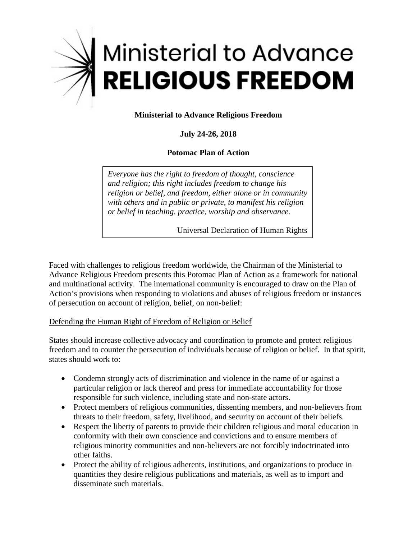

# **Ministerial to Advance Religious Freedom**

# **July 24-26, 2018**

## **Potomac Plan of Action**

*Everyone has the right to freedom of thought, conscience and religion; this right includes freedom to change his religion or belief, and freedom, either alone or in community with others and in public or private, to manifest his religion or belief in teaching, practice, worship and observance.* 

Universal Declaration of Human Rights

Faced with challenges to religious freedom worldwide, the Chairman of the Ministerial to Advance Religious Freedom presents this Potomac Plan of Action as a framework for national and multinational activity. The international community is encouraged to draw on the Plan of Action's provisions when responding to violations and abuses of religious freedom or instances of persecution on account of religion, belief, on non-belief:

#### Defending the Human Right of Freedom of Religion or Belief

 freedom and to counter the persecution of individuals because of religion or belief. In that spirit, states should work to: States should increase collective advocacy and coordination to promote and protect religious

- • Condemn strongly acts of discrimination and violence in the name of or against a particular religion or lack thereof and press for immediate accountability for those responsible for such violence, including state and non-state actors.
- Protect members of religious communities, dissenting members, and non-believers from threats to their freedom, safety, livelihood, and security on account of their beliefs.
- Respect the liberty of parents to provide their children religious and moral education in conformity with their own conscience and convictions and to ensure members of religious minority communities and non-believers are not forcibly indoctrinated into other faiths.
- Protect the ability of religious adherents, institutions, and organizations to produce in quantities they desire religious publications and materials, as well as to import and disseminate such materials.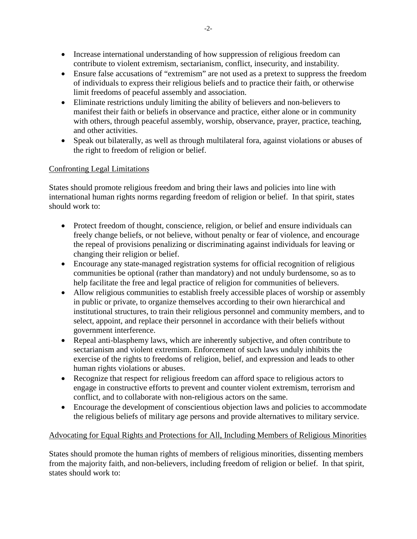- Increase international understanding of how suppression of religious freedom can contribute to violent extremism, sectarianism, conflict, insecurity, and instability.
- of individuals to express their religious beliefs and to practice their faith, or otherwise • Ensure false accusations of "extremism" are not used as a pretext to suppress the freedom limit freedoms of peaceful assembly and association.
- Eliminate restrictions unduly limiting the ability of believers and non-believers to manifest their faith or beliefs in observance and practice, either alone or in community with others, through peaceful assembly, worship, observance, prayer, practice, teaching, and other activities.
- the right to freedom of religion or belief. • Speak out bilaterally, as well as through multilateral fora, against violations or abuses of

## Confronting Legal Limitations

States should promote religious freedom and bring their laws and policies into line with international human rights norms regarding freedom of religion or belief. In that spirit, states should work to:

- Protect freedom of thought, conscience, religion, or belief and ensure individuals can freely change beliefs, or not believe, without penalty or fear of violence, and encourage the repeal of provisions penalizing or discriminating against individuals for leaving or changing their religion or belief.
- Encourage any state-managed registration systems for official recognition of religious communities be optional (rather than mandatory) and not unduly burdensome, so as to help facilitate the free and legal practice of religion for communities of believers.
- select, appoint, and replace their personnel in accordance with their beliefs without • Allow religious communities to establish freely accessible places of worship or assembly in public or private, to organize themselves according to their own hierarchical and institutional structures, to train their religious personnel and community members, and to government interference.
- Repeal anti-blasphemy laws, which are inherently subjective, and often contribute to sectarianism and violent extremism. Enforcement of such laws unduly inhibits the exercise of the rights to freedoms of religion, belief, and expression and leads to other human rights violations or abuses.
- Recognize that respect for religious freedom can afford space to religious actors to engage in constructive efforts to prevent and counter violent extremism, terrorism and conflict, and to collaborate with non-religious actors on the same.
- Encourage the development of conscientious objection laws and policies to accommodate the religious beliefs of military age persons and provide alternatives to military service.

## Advocating for Equal Rights and Protections for All, Including Members of Religious Minorities

States should promote the human rights of members of religious minorities, dissenting members from the majority faith, and non-believers, including freedom of religion or belief. In that spirit, states should work to: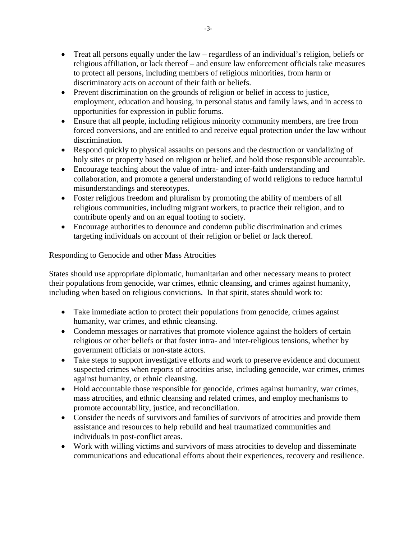- Treat all persons equally under the law regardless of an individual's religion, beliefs or religious affiliation, or lack thereof – and ensure law enforcement officials take measures to protect all persons, including members of religious minorities, from harm or discriminatory acts on account of their faith or beliefs.
- Prevent discrimination on the grounds of religion or belief in access to justice, employment, education and housing, in personal status and family laws, and in access to opportunities for expression in public forums.
- Ensure that all people, including religious minority community members, are free from forced conversions, and are entitled to and receive equal protection under the law without discrimination.
- Respond quickly to physical assaults on persons and the destruction or vandalizing of holy sites or property based on religion or belief, and hold those responsible accountable.
- • Encourage teaching about the value of intra- and inter-faith understanding and collaboration, and promote a general understanding of world religions to reduce harmful misunderstandings and stereotypes.
- Foster religious freedom and pluralism by promoting the ability of members of all religious communities, including migrant workers, to practice their religion, and to contribute openly and on an equal footing to society.
- Encourage authorities to denounce and condemn public discrimination and crimes targeting individuals on account of their religion or belief or lack thereof.

# Responding to Genocide and other Mass Atrocities

States should use appropriate diplomatic, humanitarian and other necessary means to protect their populations from genocide, war crimes, ethnic cleansing, and crimes against humanity, including when based on religious convictions. In that spirit, states should work to:

- Take immediate action to protect their populations from genocide, crimes against humanity, war crimes, and ethnic cleansing.
- Condemn messages or narratives that promote violence against the holders of certain religious or other beliefs or that foster intra- and inter-religious tensions, whether by government officials or non-state actors.
- suspected crimes when reports of atrocities arise, including genocide, war crimes, crimes • Take steps to support investigative efforts and work to preserve evidence and document against humanity, or ethnic cleansing.
- Hold accountable those responsible for genocide, crimes against humanity, war crimes, mass atrocities, and ethnic cleansing and related crimes, and employ mechanisms to promote accountability, justice, and reconciliation.
- Consider the needs of survivors and families of survivors of atrocities and provide them assistance and resources to help rebuild and heal traumatized communities and individuals in post-conflict areas.
- Work with willing victims and survivors of mass atrocities to develop and disseminate communications and educational efforts about their experiences, recovery and resilience.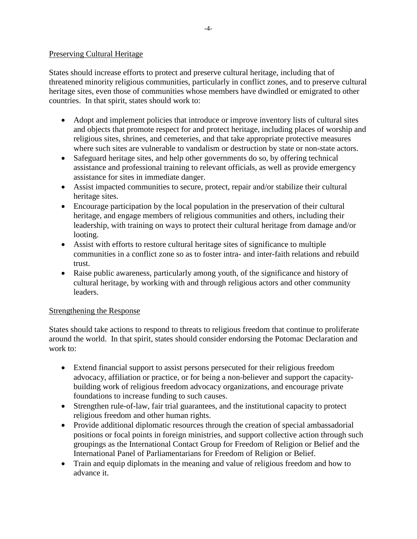#### Preserving Cultural Heritage

 threatened minority religious communities, particularly in conflict zones, and to preserve cultural States should increase efforts to protect and preserve cultural heritage, including that of heritage sites, even those of communities whose members have dwindled or emigrated to other countries. In that spirit, states should work to:

- and objects that promote respect for and protect heritage, including places of worship and • Adopt and implement policies that introduce or improve inventory lists of cultural sites religious sites, shrines, and cemeteries, and that take appropriate protective measures where such sites are vulnerable to vandalism or destruction by state or non-state actors.
- Safeguard heritage sites, and help other governments do so, by offering technical assistance and professional training to relevant officials, as well as provide emergency assistance for sites in immediate danger.
- Assist impacted communities to secure, protect, repair and/or stabilize their cultural heritage sites.
- • Encourage participation by the local population in the preservation of their cultural heritage, and engage members of religious communities and others, including their leadership, with training on ways to protect their cultural heritage from damage and/or looting.
- Assist with efforts to restore cultural heritage sites of significance to multiple communities in a conflict zone so as to foster intra- and inter-faith relations and rebuild trust.
- cultural heritage, by working with and through religious actors and other community • Raise public awareness, particularly among youth, of the significance and history of leaders.

## Strengthening the Response

States should take actions to respond to threats to religious freedom that continue to proliferate around the world. In that spirit, states should consider endorsing the Potomac Declaration and work to:

- Extend financial support to assist persons persecuted for their religious freedom advocacy, affiliation or practice, or for being a non-believer and support the capacitybuilding work of religious freedom advocacy organizations, and encourage private foundations to increase funding to such causes.
- Strengthen rule-of-law, fair trial guarantees, and the institutional capacity to protect religious freedom and other human rights.
- Provide additional diplomatic resources through the creation of special ambassadorial positions or focal points in foreign ministries, and support collective action through such groupings as the International Contact Group for Freedom of Religion or Belief and the International Panel of Parliamentarians for Freedom of Religion or Belief.
- Train and equip diplomats in the meaning and value of religious freedom and how to advance it.